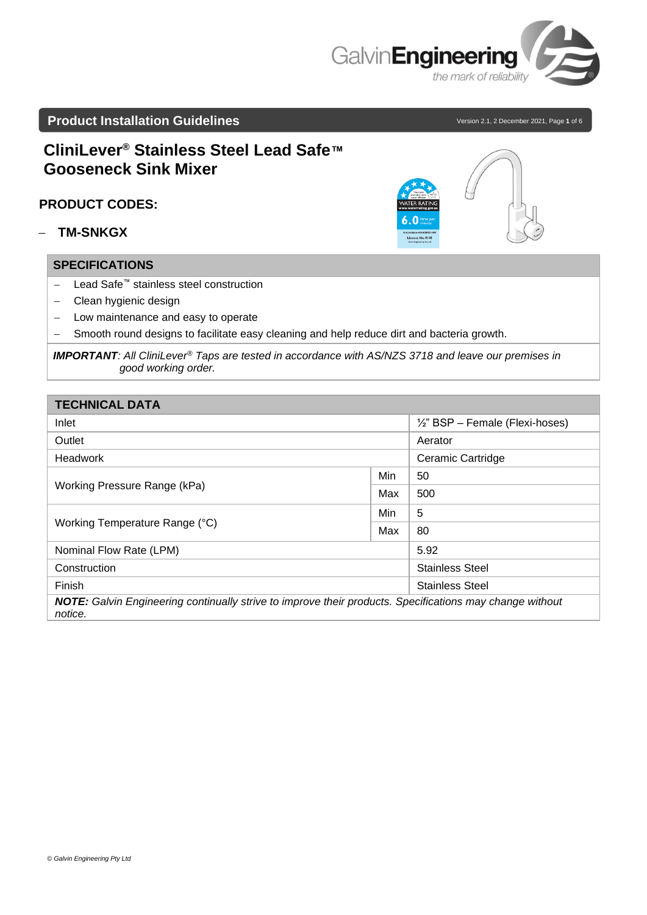

# **Product Installation Guidelines** and the set of 6 version 2.1, 2 December 2021, Page 1 of 6

# **CliniLever® Stainless Steel Lead Safe™ Gooseneck Sink Mixer**

## **PRODUCT CODES:**

− **TM-SNKGX**

### **SPECIFICATIONS**

- − Lead Safe™ stainless steel construction
- − Clean hygienic design
- − Low maintenance and easy to operate
- − Smooth round designs to facilitate easy cleaning and help reduce dirt and bacteria growth.

| <b>TECHNICAL DATA</b>                                                                                                      |     |                                            |  |  |
|----------------------------------------------------------------------------------------------------------------------------|-----|--------------------------------------------|--|--|
| Inlet                                                                                                                      |     | $\frac{1}{2}$ " BSP – Female (Flexi-hoses) |  |  |
| Outlet                                                                                                                     |     | Aerator                                    |  |  |
| Headwork                                                                                                                   |     | <b>Ceramic Cartridge</b>                   |  |  |
|                                                                                                                            | Min | 50                                         |  |  |
| Working Pressure Range (kPa)                                                                                               | Max | 500                                        |  |  |
|                                                                                                                            | Min | 5                                          |  |  |
| Working Temperature Range (°C)                                                                                             | Max | 80                                         |  |  |
| Nominal Flow Rate (LPM)                                                                                                    |     | 5.92                                       |  |  |
| Construction                                                                                                               |     | <b>Stainless Steel</b>                     |  |  |
| Finish                                                                                                                     |     | <b>Stainless Steel</b>                     |  |  |
| <b>NOTE:</b> Galvin Engineering continually strive to improve their products. Specifications may change without<br>notice. |     |                                            |  |  |



*IMPORTANT: All CliniLever® Taps are tested in accordance with AS/NZS 3718 and leave our premises in good working order.*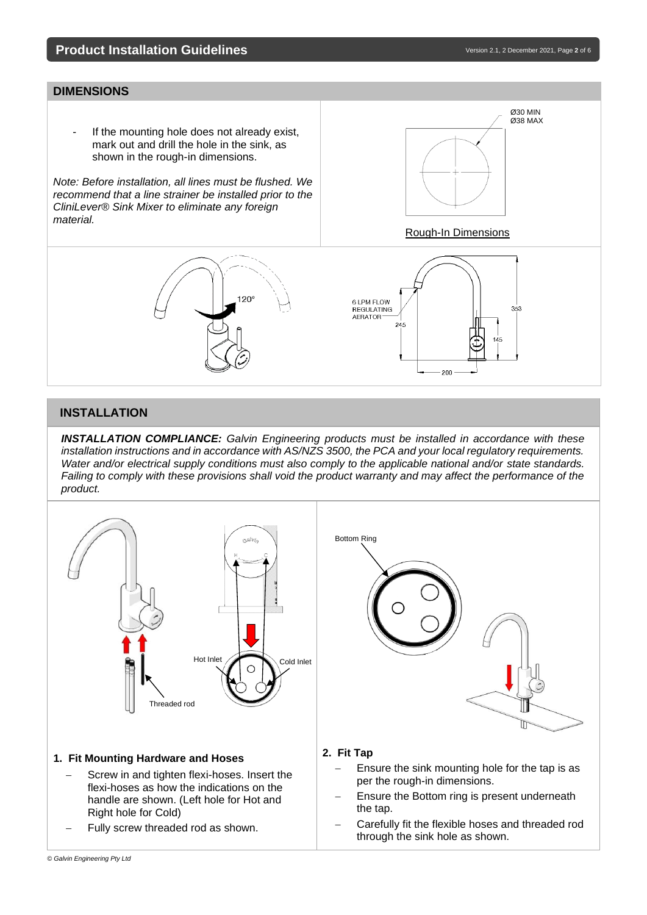# **Product Installation Guidelines** and the set of the set of the version 2.1, 2 December 2021, Page 2 of 6

Ø30 MIN Ø38 MAX

#### **DIMENSIONS**

If the mounting hole does not already exist, mark out and drill the hole in the sink, as shown in the rough-in dimensions.

*Note: Before installation, all lines must be flushed. We recommend that a line strainer be installed prior to the CliniLever® Sink Mixer to eliminate any foreign material.*





 $\overline{\phantom{a}}$ 

#### **INSTALLATION**

*INSTALLATION COMPLIANCE: Galvin Engineering products must be installed in accordance with these installation instructions and in accordance with AS/NZS 3500, the PCA and your local regulatory requirements. Water and/or electrical supply conditions must also comply to the applicable national and/or state standards. Failing to comply with these provisions shall void the product warranty and may affect the performance of the product.*



- Ensure the Bottom ring is present underneath the tap.
- Carefully fit the flexible hoses and threaded rod through the sink hole as shown.
- flexi-hoses as how the indications on the handle are shown. (Left hole for Hot and Right hole for Cold)
- Fully screw threaded rod as shown.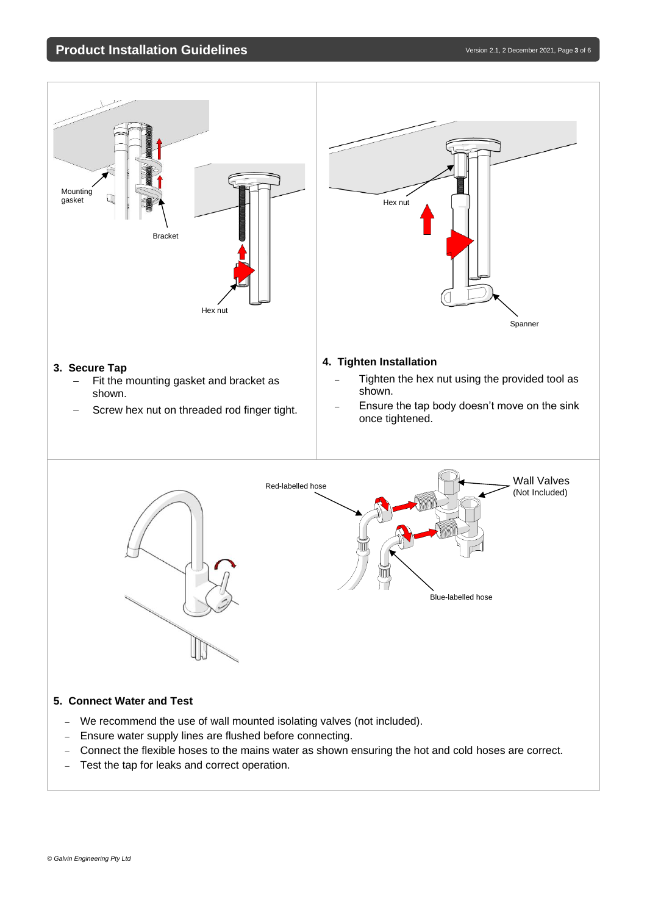# **Product Installation Guidelines** and the set of the set of the version 2.1, 2 December 2021, Page 3 of 6



#### **5. Connect Water and Test**

- − We recommend the use of wall mounted isolating valves (not included).
- − Ensure water supply lines are flushed before connecting.
- − Connect the flexible hoses to the mains water as shown ensuring the hot and cold hoses are correct.
- − Test the tap for leaks and correct operation.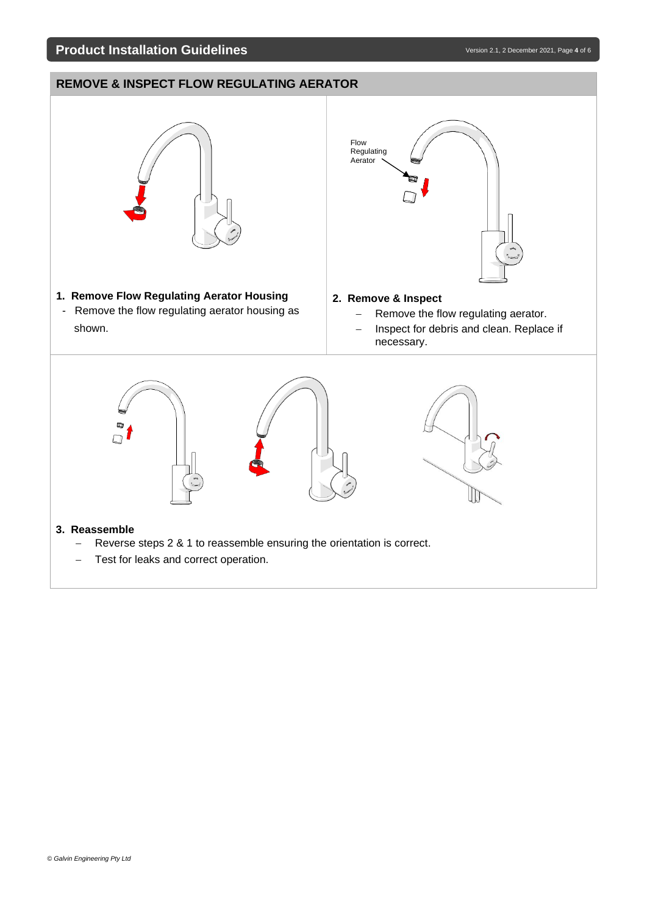# **Product Installation Guidelines**

# **REMOVE & INSPECT FLOW REGULATING AERATOR**

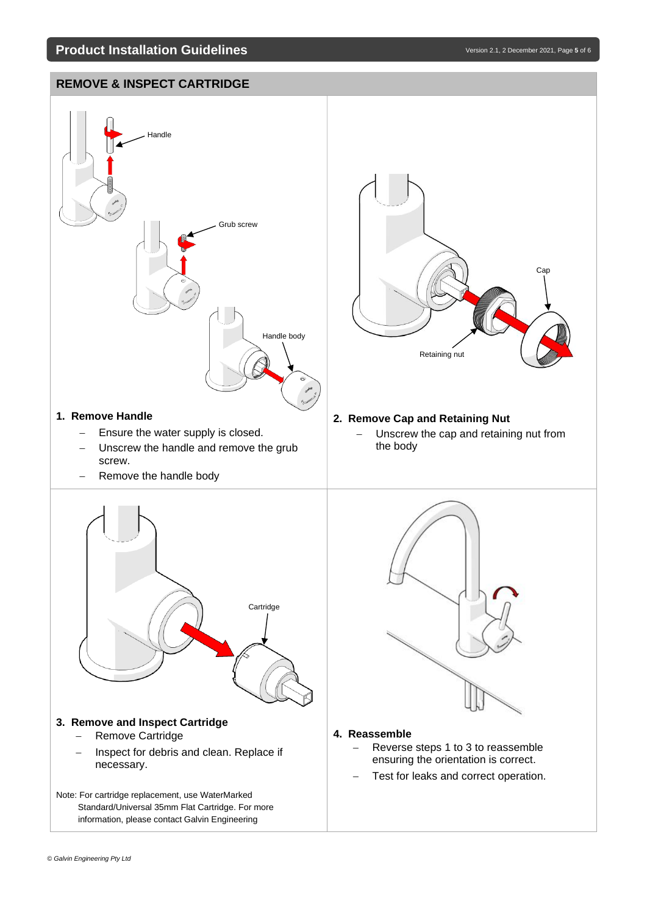# **REMOVE & INSPECT CARTRIDGE**